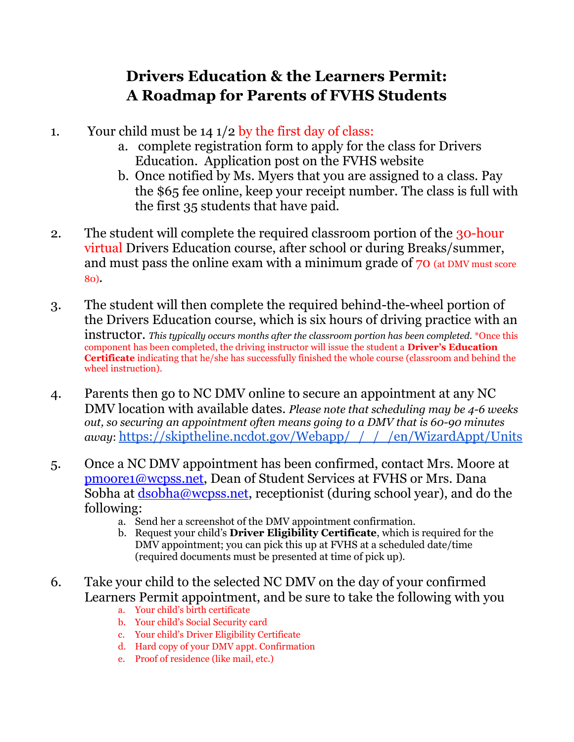## **Drivers Education & the Learners Permit: A Roadmap for Parents of FVHS Students**

- 1. Your child must be  $14 \frac{1}{2}$  by the first day of class:
	- a. complete registration form to apply for the class for Drivers Education. Application post on the FVHS website
	- b. Once notified by Ms. Myers that you are assigned to a class. Pay the \$65 fee online, keep your receipt number. The class is full with the first 35 students that have paid.
- 2. The student will complete the required classroom portion of the 30-hour virtual Drivers Education course, after school or during Breaks/summer, and must pass the online exam with a minimum grade of 70 (at DMV must score 80).
- 3. The student will then complete the required behind-the-wheel portion of the Drivers Education course, which is six hours of driving practice with an instructor. *This typically occurs months after the classroom portion has been completed.* \*Once this component has been completed, the driving instructor will issue the student a **Driver's Education Certificate** indicating that he/she has successfully finished the whole course (classroom and behind the wheel instruction).
- 4. Parents then go to NC DMV online to secure an appointment at any NC DMV location with available dates. *Please note that scheduling may be 4-6 weeks out, so securing an appointment often means going to a DMV that is 60-90 minutes away*: [https://skiptheline.ncdot.gov/Webapp/\\_/\\_/\\_/en/WizardAppt/Units](https://skiptheline.ncdot.gov/Webapp/_/_/_/en/WizardAppt/Units)
- 5. Once a NC DMV appointment has been confirmed, contact Mrs. Moore at [pmoore1@wcpss.net,](mailto:pmoore1@wcpss.net) Dean of Student Services at FVHS or Mrs. Dana Sobha at [dsobha@wcpss.net,](mailto:dsobha@wcpss.net) receptionist (during school year), and do the following:
	- a. Send her a screenshot of the DMV appointment confirmation.
	- b. Request your child's **Driver Eligibility Certificate**, which is required for the DMV appointment; you can pick this up at FVHS at a scheduled date/time (required documents must be presented at time of pick up).
- 6. Take your child to the selected NC DMV on the day of your confirmed Learners Permit appointment, and be sure to take the following with you
	- a. Your child's birth certificate
	- b. Your child's Social Security card
	- c. Your child's Driver Eligibility Certificate
	- d. Hard copy of your DMV appt. Confirmation
	- e. Proof of residence (like mail, etc.)